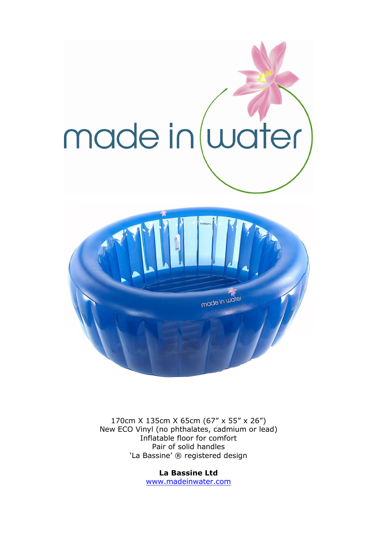

170cm X 135cm X 65cm (67" x 55" x 26") New ECO Vinyl (no phthalates, cadmium or lead) Inflatable floor for comfort Pair of solid handles 'La Bassine' ® registered design

> **La Bassine Ltd**  www.madeinwater.com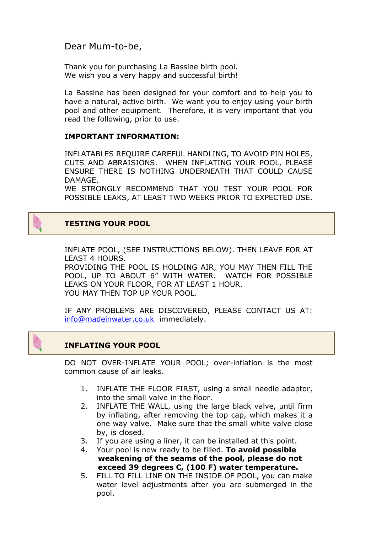Dear Mum-to-be,

Thank you for purchasing La Bassine birth pool. We wish you a very happy and successful birth!

La Bassine has been designed for your comfort and to help you to have a natural, active birth. We want you to enjoy using your birth pool and other equipment. Therefore, it is very important that you read the following, prior to use.

### **IMPORTANT INFORMATION:**

INFLATABLES REQUIRE CAREFUL HANDLING, TO AVOID PIN HOLES, CUTS AND ABRAISIONS. WHEN INFLATING YOUR POOL, PLEASE ENSURE THERE IS NOTHING UNDERNEATH THAT COULD CAUSE DAMAGE.

WE STRONGLY RECOMMEND THAT YOU TEST YOUR POOL FOR POSSIBLE LEAKS, AT LEAST TWO WEEKS PRIOR TO EXPECTED USE.

# **TESTING YOUR POOL**

INFLATE POOL, (SEE INSTRUCTIONS BELOW). THEN LEAVE FOR AT LEAST 4 HOURS.

PROVIDING THE POOL IS HOLDING AIR, YOU MAY THEN FILL THE POOL, UP TO ABOUT 6" WITH WATER. WATCH FOR POSSIBLE LEAKS ON YOUR FLOOR, FOR AT LEAST 1 HOUR. YOU MAY THEN TOP UP YOUR POOL.

IF ANY PROBLEMS ARE DISCOVERED, PLEASE CONTACT US AT: info@madeinwater.co.uk immediately.

## **INFLATING YOUR POOL**

DO NOT OVER-INFLATE YOUR POOL; over-inflation is the most common cause of air leaks.

- 1. INFLATE THE FLOOR FIRST, using a small needle adaptor, into the small valve in the floor.
- 2. INFLATE THE WALL, using the large black valve, until firm by inflating, after removing the top cap, which makes it a one way valve. Make sure that the small white valve close by, is closed.
- 3. If you are using a liner, it can be installed at this point.
- 4. Your pool is now ready to be filled. **To avoid possible weakening of the seams of the pool, please do not exceed 39 degrees C, (100 F) water temperature.**
- 5. FILL TO FILL LINE ON THE INSIDE OF POOL, you can make water level adjustments after you are submerged in the pool.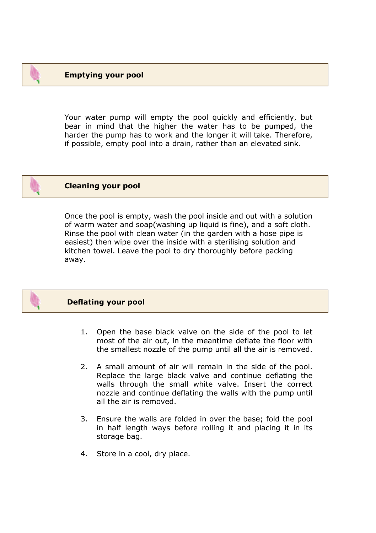Your water pump will empty the pool quickly and efficiently, but bear in mind that the higher the water has to be pumped, the harder the pump has to work and the longer it will take. Therefore, if possible, empty pool into a drain, rather than an elevated sink.



### **Cleaning your pool**

Once the pool is empty, wash the pool inside and out with a solution of warm water and soap(washing up liquid is fine), and a soft cloth. Rinse the pool with clean water (in the garden with a hose pipe is easiest) then wipe over the inside with a sterilising solution and kitchen towel. Leave the pool to dry thoroughly before packing away.



### **Deflating your pool**

- 1. Open the base black valve on the side of the pool to let most of the air out, in the meantime deflate the floor with the smallest nozzle of the pump until all the air is removed.
- 2. A small amount of air will remain in the side of the pool. Replace the large black valve and continue deflating the walls through the small white valve. Insert the correct nozzle and continue deflating the walls with the pump until all the air is removed.
- 3. Ensure the walls are folded in over the base; fold the pool in half length ways before rolling it and placing it in its storage bag.
- 4. Store in a cool, dry place.